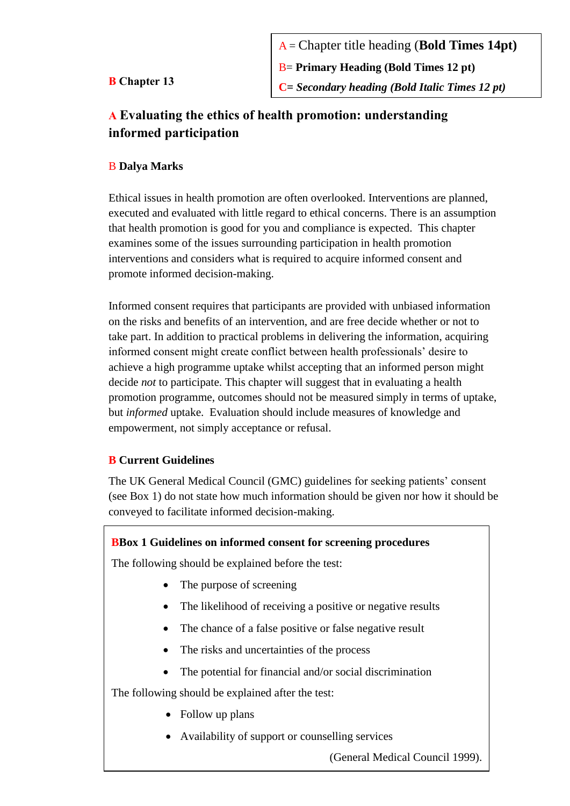### **B Chapter 13**

A = Chapter title heading (**Bold Times 14pt)**

B= **Primary Heading (Bold Times 12 pt)**

**C=** *Secondary heading (Bold Italic Times 12 pt)*

# **A Evaluating the ethics of health promotion: understanding informed participation**

# B **Dalya Marks**

Ethical issues in health promotion are often overlooked. Interventions are planned, executed and evaluated with little regard to ethical concerns. There is an assumption that health promotion is good for you and compliance is expected. This chapter examines some of the issues surrounding participation in health promotion interventions and considers what is required to acquire informed consent and promote informed decision-making.

Informed consent requires that participants are provided with unbiased information on the risks and benefits of an intervention, and are free decide whether or not to take part. In addition to practical problems in delivering the information, acquiring informed consent might create conflict between health professionals' desire to achieve a high programme uptake whilst accepting that an informed person might decide *not* to participate. This chapter will suggest that in evaluating a health promotion programme, outcomes should not be measured simply in terms of uptake, but *informed* uptake. Evaluation should include measures of knowledge and empowerment, not simply acceptance or refusal.

# **B Current Guidelines**

The UK General Medical Council (GMC) guidelines for seeking patients' consent (see Box 1) do not state how much information should be given nor how it should be conveyed to facilitate informed decision-making.

# **BBox 1 Guidelines on informed consent for screening procedures**

The following should be explained before the test:

- The purpose of screening
- The likelihood of receiving a positive or negative results
- The chance of a false positive or false negative result
- The risks and uncertainties of the process
- The potential for financial and/or social discrimination

The following should be explained after the test:

- Follow up plans
- Availability of support or counselling services

(General Medical Council 1999).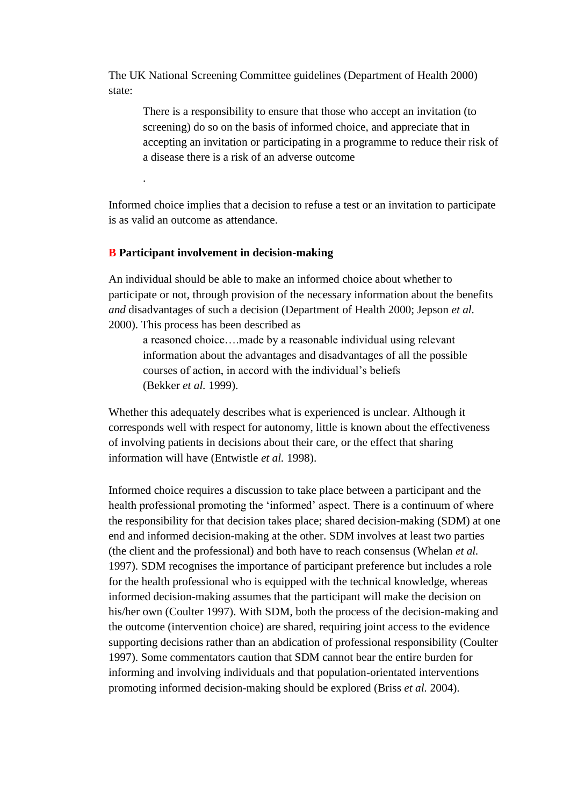The UK National Screening Committee guidelines (Department of Health 2000) state:

There is a responsibility to ensure that those who accept an invitation (to screening) do so on the basis of informed choice, and appreciate that in accepting an invitation or participating in a programme to reduce their risk of a disease there is a risk of an adverse outcome

Informed choice implies that a decision to refuse a test or an invitation to participate is as valid an outcome as attendance.

#### **B Participant involvement in decision-making**

.

An individual should be able to make an informed choice about whether to participate or not, through provision of the necessary information about the benefits *and* disadvantages of such a decision (Department of Health 2000; Jepson *et al.* 2000). This process has been described as

a reasoned choice….made by a reasonable individual using relevant information about the advantages and disadvantages of all the possible courses of action, in accord with the individual's beliefs (Bekker *et al.* 1999).

Whether this adequately describes what is experienced is unclear. Although it corresponds well with respect for autonomy, little is known about the effectiveness of involving patients in decisions about their care, or the effect that sharing information will have (Entwistle *et al.* 1998).

Informed choice requires a discussion to take place between a participant and the health professional promoting the 'informed' aspect. There is a continuum of where the responsibility for that decision takes place; shared decision-making (SDM) at one end and informed decision-making at the other. SDM involves at least two parties (the client and the professional) and both have to reach consensus (Whelan *et al.* 1997). SDM recognises the importance of participant preference but includes a role for the health professional who is equipped with the technical knowledge, whereas informed decision-making assumes that the participant will make the decision on his/her own (Coulter 1997). With SDM, both the process of the decision-making and the outcome (intervention choice) are shared, requiring joint access to the evidence supporting decisions rather than an abdication of professional responsibility (Coulter 1997). Some commentators caution that SDM cannot bear the entire burden for informing and involving individuals and that population-orientated interventions promoting informed decision-making should be explored (Briss *et al.* 2004).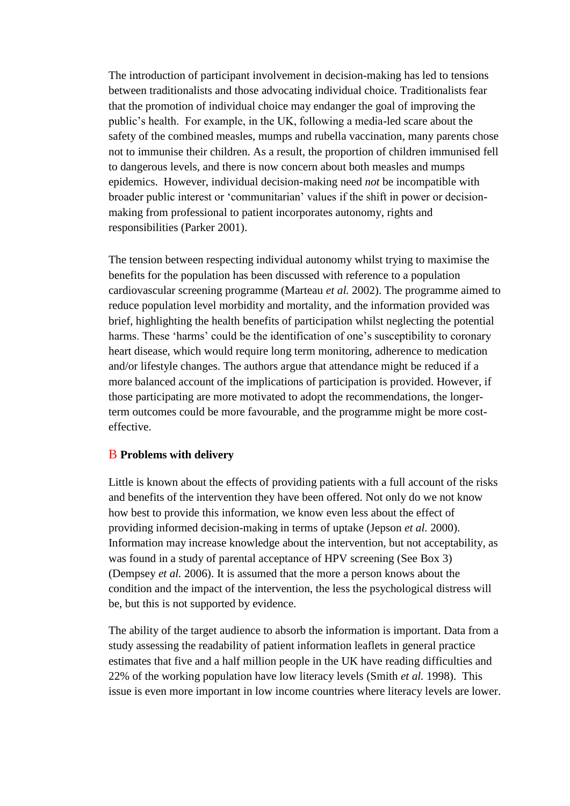The introduction of participant involvement in decision-making has led to tensions between traditionalists and those advocating individual choice. Traditionalists fear that the promotion of individual choice may endanger the goal of improving the public's health. For example, in the UK, following a media-led scare about the safety of the combined measles, mumps and rubella vaccination, many parents chose not to immunise their children. As a result, the proportion of children immunised fell to dangerous levels, and there is now concern about both measles and mumps epidemics. However, individual decision-making need *not* be incompatible with broader public interest or 'communitarian' values if the shift in power or decisionmaking from professional to patient incorporates autonomy, rights and responsibilities (Parker 2001).

The tension between respecting individual autonomy whilst trying to maximise the benefits for the population has been discussed with reference to a population cardiovascular screening programme (Marteau *et al.* 2002). The programme aimed to reduce population level morbidity and mortality, and the information provided was brief, highlighting the health benefits of participation whilst neglecting the potential harms. These 'harms' could be the identification of one's susceptibility to coronary heart disease, which would require long term monitoring, adherence to medication and/or lifestyle changes. The authors argue that attendance might be reduced if a more balanced account of the implications of participation is provided. However, if those participating are more motivated to adopt the recommendations, the longerterm outcomes could be more favourable, and the programme might be more costeffective.

#### B **Problems with delivery**

Little is known about the effects of providing patients with a full account of the risks and benefits of the intervention they have been offered. Not only do we not know how best to provide this information, we know even less about the effect of providing informed decision-making in terms of uptake (Jepson *et al.* 2000). Information may increase knowledge about the intervention, but not acceptability, as was found in a study of parental acceptance of HPV screening (See Box 3) (Dempsey *et al.* 2006). It is assumed that the more a person knows about the condition and the impact of the intervention, the less the psychological distress will be, but this is not supported by evidence.

The ability of the target audience to absorb the information is important. Data from a study assessing the readability of patient information leaflets in general practice estimates that five and a half million people in the UK have reading difficulties and 22% of the working population have low literacy levels (Smith *et al.* 1998). This issue is even more important in low income countries where literacy levels are lower.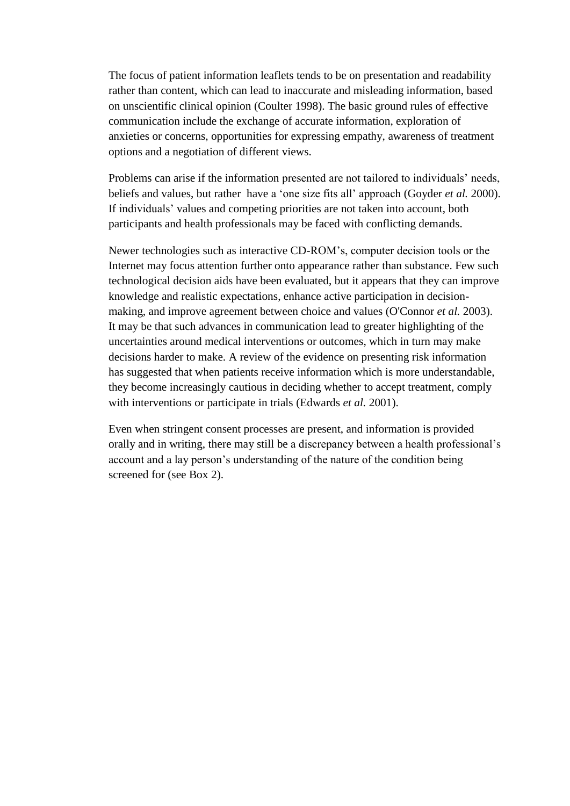The focus of patient information leaflets tends to be on presentation and readability rather than content, which can lead to inaccurate and misleading information, based on unscientific clinical opinion (Coulter 1998). The basic ground rules of effective communication include the exchange of accurate information, exploration of anxieties or concerns, opportunities for expressing empathy, awareness of treatment options and a negotiation of different views.

Problems can arise if the information presented are not tailored to individuals' needs, beliefs and values, but rather have a 'one size fits all' approach (Goyder *et al.* 2000). If individuals' values and competing priorities are not taken into account, both participants and health professionals may be faced with conflicting demands.

Newer technologies such as interactive CD-ROM's, computer decision tools or the Internet may focus attention further onto appearance rather than substance. Few such technological decision aids have been evaluated, but it appears that they can improve knowledge and realistic expectations, enhance active participation in decisionmaking, and improve agreement between choice and values (O'Connor *et al.* 2003). It may be that such advances in communication lead to greater highlighting of the uncertainties around medical interventions or outcomes, which in turn may make decisions harder to make. A review of the evidence on presenting risk information has suggested that when patients receive information which is more understandable, they become increasingly cautious in deciding whether to accept treatment, comply with interventions or participate in trials (Edwards *et al.* 2001).

Even when stringent consent processes are present, and information is provided orally and in writing, there may still be a discrepancy between a health professional's account and a lay person's understanding of the nature of the condition being screened for (see Box 2).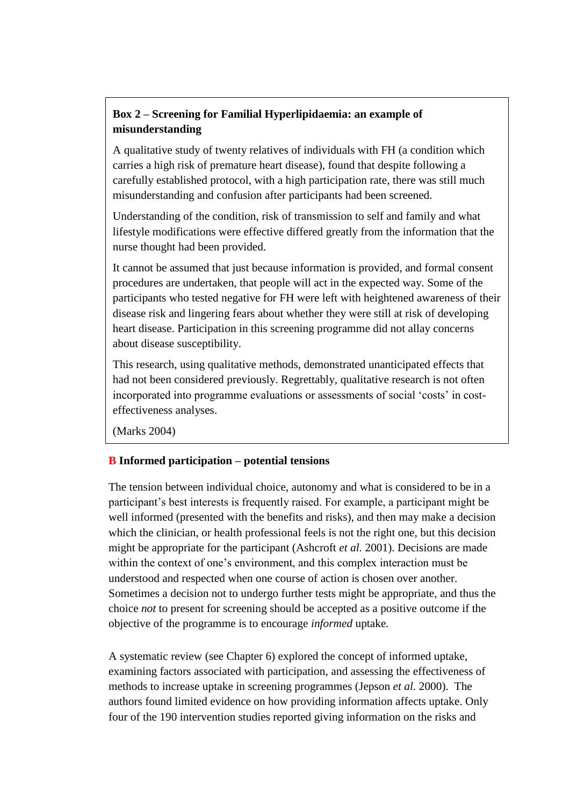# **Box 2 – Screening for Familial Hyperlipidaemia: an example of misunderstanding**

A qualitative study of twenty relatives of individuals with FH (a condition which carries a high risk of premature heart disease), found that despite following a carefully established protocol, with a high participation rate, there was still much misunderstanding and confusion after participants had been screened.

Understanding of the condition, risk of transmission to self and family and what lifestyle modifications were effective differed greatly from the information that the nurse thought had been provided.

It cannot be assumed that just because information is provided, and formal consent procedures are undertaken, that people will act in the expected way. Some of the participants who tested negative for FH were left with heightened awareness of their disease risk and lingering fears about whether they were still at risk of developing heart disease. Participation in this screening programme did not allay concerns about disease susceptibility.

This research, using qualitative methods, demonstrated unanticipated effects that had not been considered previously. Regrettably, qualitative research is not often incorporated into programme evaluations or assessments of social 'costs' in costeffectiveness analyses.

(Marks 2004)

### **B Informed participation – potential tensions**

The tension between individual choice, autonomy and what is considered to be in a participant's best interests is frequently raised. For example, a participant might be well informed (presented with the benefits and risks), and then may make a decision which the clinician, or health professional feels is not the right one, but this decision might be appropriate for the participant (Ashcroft *et al.* 2001). Decisions are made within the context of one's environment, and this complex interaction must be understood and respected when one course of action is chosen over another. Sometimes a decision not to undergo further tests might be appropriate, and thus the choice *not* to present for screening should be accepted as a positive outcome if the objective of the programme is to encourage *informed* uptake*.*

A systematic review (see Chapter 6) explored the concept of informed uptake, examining factors associated with participation, and assessing the effectiveness of methods to increase uptake in screening programmes (Jepson *et al.* 2000). The authors found limited evidence on how providing information affects uptake. Only four of the 190 intervention studies reported giving information on the risks and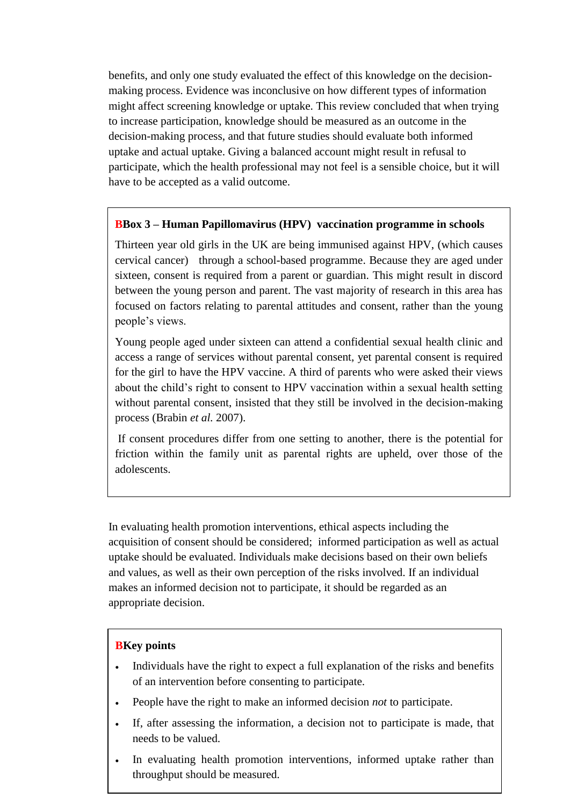benefits, and only one study evaluated the effect of this knowledge on the decisionmaking process. Evidence was inconclusive on how different types of information might affect screening knowledge or uptake. This review concluded that when trying to increase participation, knowledge should be measured as an outcome in the decision-making process, and that future studies should evaluate both informed uptake and actual uptake. Giving a balanced account might result in refusal to participate, which the health professional may not feel is a sensible choice, but it will have to be accepted as a valid outcome.

### **BBox 3 – Human Papillomavirus (HPV) vaccination programme in schools**

Thirteen year old girls in the UK are being immunised against HPV, (which causes cervical cancer) through a school-based programme. Because they are aged under sixteen, consent is required from a parent or guardian. This might result in discord between the young person and parent. The vast majority of research in this area has focused on factors relating to parental attitudes and consent, rather than the young people's views.

Young people aged under sixteen can attend a confidential sexual health clinic and access a range of services without parental consent, yet parental consent is required for the girl to have the HPV vaccine. A third of parents who were asked their views about the child's right to consent to HPV vaccination within a sexual health setting without parental consent, insisted that they still be involved in the decision-making process (Brabin *et al.* 2007).

If consent procedures differ from one setting to another, there is the potential for In consent procedures dirict from one setting to disolver, there is the potential for<br>friction within the family unit as parental rights are upheld, over those of the adolescents.

In evaluating health promotion interventions, ethical aspects including the acquisition of consent should be considered; informed participation as well as actual uptake should be evaluated. Individuals make decisions based on their own beliefs and values, as well as their own perception of the risks involved. If an individual makes an informed decision not to participate, it should be regarded as an appropriate decision.

### **BKey points**

- Individuals have the right to expect a full explanation of the risks and benefits of an intervention before consenting to participate.
- People have the right to make an informed decision *not* to participate.
- If, after assessing the information, a decision not to participate is made, that needs to be valued.
- In evaluating health promotion interventions, informed uptake rather than throughput should be measured.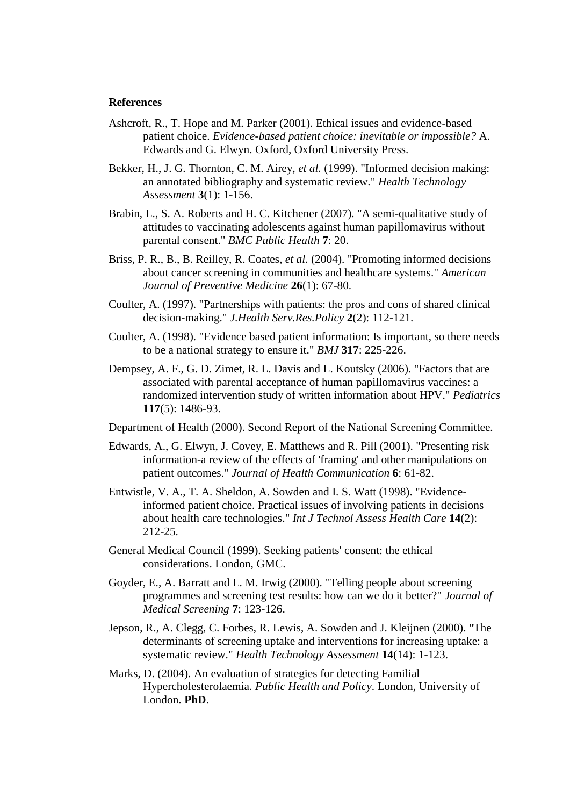#### **References**

- Ashcroft, R., T. Hope and M. Parker (2001). Ethical issues and evidence-based patient choice. *Evidence-based patient choice: inevitable or impossible?* A. Edwards and G. Elwyn. Oxford, Oxford University Press.
- Bekker, H., J. G. Thornton, C. M. Airey*, et al.* (1999). "Informed decision making: an annotated bibliography and systematic review." *Health Technology Assessment* **3**(1): 1-156.
- Brabin, L., S. A. Roberts and H. C. Kitchener (2007). "A semi-qualitative study of attitudes to vaccinating adolescents against human papillomavirus without parental consent." *BMC Public Health* **7**: 20.
- Briss, P. R., B., B. Reilley, R. Coates*, et al.* (2004). "Promoting informed decisions about cancer screening in communities and healthcare systems." *American Journal of Preventive Medicine* **26**(1): 67-80.
- Coulter, A. (1997). "Partnerships with patients: the pros and cons of shared clinical decision-making." *J.Health Serv.Res.Policy* **2**(2): 112-121.
- Coulter, A. (1998). "Evidence based patient information: Is important, so there needs to be a national strategy to ensure it." *BMJ* **317**: 225-226.
- Dempsey, A. F., G. D. Zimet, R. L. Davis and L. Koutsky (2006). "Factors that are associated with parental acceptance of human papillomavirus vaccines: a randomized intervention study of written information about HPV." *Pediatrics* **117**(5): 1486-93.
- Department of Health (2000). Second Report of the National Screening Committee.
- Edwards, A., G. Elwyn, J. Covey, E. Matthews and R. Pill (2001). "Presenting risk information-a review of the effects of 'framing' and other manipulations on patient outcomes." *Journal of Health Communication* **6**: 61-82.
- Entwistle, V. A., T. A. Sheldon, A. Sowden and I. S. Watt (1998). "Evidenceinformed patient choice. Practical issues of involving patients in decisions about health care technologies." *Int J Technol Assess Health Care* **14**(2): 212-25.
- General Medical Council (1999). Seeking patients' consent: the ethical considerations. London, GMC.
- Goyder, E., A. Barratt and L. M. Irwig (2000). "Telling people about screening programmes and screening test results: how can we do it better?" *Journal of Medical Screening* **7**: 123-126.
- Jepson, R., A. Clegg, C. Forbes, R. Lewis, A. Sowden and J. Kleijnen (2000). "The determinants of screening uptake and interventions for increasing uptake: a systematic review." *Health Technology Assessment* **14**(14): 1-123.
- Marks, D. (2004). An evaluation of strategies for detecting Familial Hypercholesterolaemia. *Public Health and Policy*. London, University of London. **PhD**.